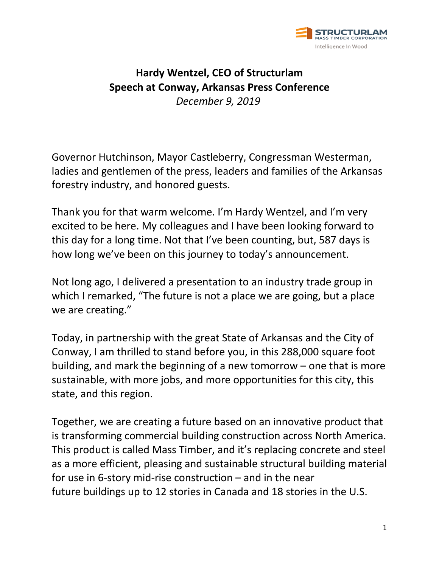

## **Hardy Wentzel, CEO of Structurlam Speech at Conway, Arkansas Press Conference** *December 9, 2019*

Governor Hutchinson, Mayor Castleberry, Congressman Westerman, ladies and gentlemen of the press, leaders and families of the Arkansas forestry industry, and honored guests.

Thank you for that warm welcome. I'm Hardy Wentzel, and I'm very excited to be here. My colleagues and I have been looking forward to this day for a long time. Not that I've been counting, but, 587 days is how long we've been on this journey to today's announcement.

Not long ago, I delivered a presentation to an industry trade group in which I remarked, "The future is not a place we are going, but a place we are creating."

Today, in partnership with the great State of Arkansas and the City of Conway, I am thrilled to stand before you, in this 288,000 square foot building, and mark the beginning of a new tomorrow – one that is more sustainable, with more jobs, and more opportunities for this city, this state, and this region.

Together, we are creating a future based on an innovative product that is transforming commercial building construction across North America. This product is called Mass Timber, and it's replacing concrete and steel as a more efficient, pleasing and sustainable structural building material for use in 6-story mid-rise construction – and in the near future buildings up to 12 stories in Canada and 18 stories in the U.S.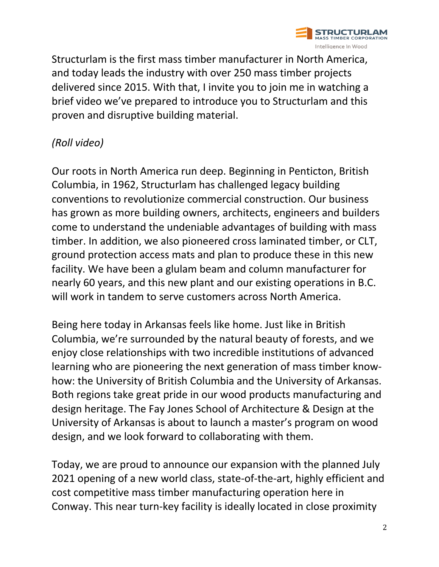

Structurlam is the first mass timber manufacturer in North America, and today leads the industry with over 250 mass timber projects delivered since 2015. With that, I invite you to join me in watching a brief video we've prepared to introduce you to Structurlam and this proven and disruptive building material.

## *(Roll video)*

Our roots in North America run deep. Beginning in Penticton, British Columbia, in 1962, Structurlam has challenged legacy building conventions to revolutionize commercial construction. Our business has grown as more building owners, architects, engineers and builders come to understand the undeniable advantages of building with mass timber. In addition, we also pioneered cross laminated timber, or CLT, ground protection access mats and plan to produce these in this new facility. We have been a glulam beam and column manufacturer for nearly 60 years, and this new plant and our existing operations in B.C. will work in tandem to serve customers across North America.

Being here today in Arkansas feels like home. Just like in British Columbia, we're surrounded by the natural beauty of forests, and we enjoy close relationships with two incredible institutions of advanced learning who are pioneering the next generation of mass timber knowhow: the University of British Columbia and the University of Arkansas. Both regions take great pride in our wood products manufacturing and design heritage. The Fay Jones School of Architecture & Design at the University of Arkansas is about to launch a master's program on wood design, and we look forward to collaborating with them.

Today, we are proud to announce our expansion with the planned July 2021 opening of a new world class, state-of-the-art, highly efficient and cost competitive mass timber manufacturing operation here in Conway. This near turn-key facility is ideally located in close proximity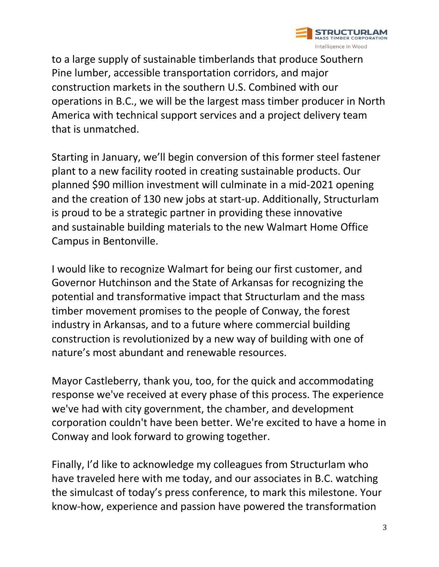

to a large supply of sustainable timberlands that produce Southern Pine lumber, accessible transportation corridors, and major construction markets in the southern U.S. Combined with our operations in B.C., we will be the largest mass timber producer in North America with technical support services and a project delivery team that is unmatched.

Starting in January, we'll begin conversion of this former steel fastener plant to a new facility rooted in creating sustainable products. Our planned \$90 million investment will culminate in a mid-2021 opening and the creation of 130 new jobs at start-up. Additionally, Structurlam is proud to be a strategic partner in providing these innovative and sustainable building materials to the new Walmart Home Office Campus in Bentonville.

I would like to recognize Walmart for being our first customer, and Governor Hutchinson and the State of Arkansas for recognizing the potential and transformative impact that Structurlam and the mass timber movement promises to the people of Conway, the forest industry in Arkansas, and to a future where commercial building construction is revolutionized by a new way of building with one of nature's most abundant and renewable resources.

Mayor Castleberry, thank you, too, for the quick and accommodating response we've received at every phase of this process. The experience we've had with city government, the chamber, and development corporation couldn't have been better. We're excited to have a home in Conway and look forward to growing together.

Finally, I'd like to acknowledge my colleagues from Structurlam who have traveled here with me today, and our associates in B.C. watching the simulcast of today's press conference, to mark this milestone. Your know-how, experience and passion have powered the transformation